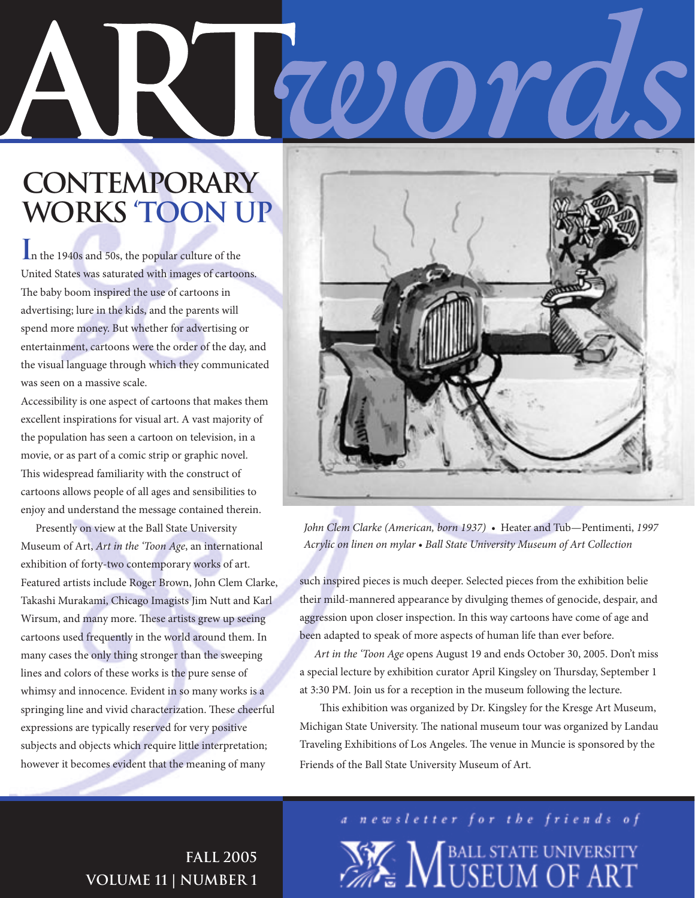# NK **KII** D'OYO.

## **CONTEMPORARY WORKS 'TOON UP**

**I**n the 1940s and 50s, the popular culture of the United States was saturated with images of cartoons. The baby boom inspired the use of cartoons in advertising; lure in the kids, and the parents will spend more money. But whether for advertising or entertainment, cartoons were the order of the day, and the visual language through which they communicated was seen on a massive scale.

Accessibility is one aspect of cartoons that makes them excellent inspirations for visual art. A vast majority of the population has seen a cartoon on television, in a movie, or as part of a comic strip or graphic novel. This widespread familiarity with the construct of cartoons allows people of all ages and sensibilities to enjoy and understand the message contained therein.

 Presently on view at the Ball State University Museum of Art, *Art in the 'Toon Age*, an international exhibition of forty-two contemporary works of art. Featured artists include Roger Brown, John Clem Clarke, Takashi Murakami, Chicago Imagists Jim Nutt and Karl Wirsum, and many more. These artists grew up seeing cartoons used frequently in the world around them. In many cases the only thing stronger than the sweeping lines and colors of these works is the pure sense of whimsy and innocence. Evident in so many works is a springing line and vivid characterization. These cheerful expressions are typically reserved for very positive subjects and objects which require little interpretation; however it becomes evident that the meaning of many



*John Clem Clarke (American, born 1937) •* Heater and Tub—Pentimenti, *1997 Acrylic on linen on mylar • Ball State University Museum of Art Collection*

such inspired pieces is much deeper. Selected pieces from the exhibition belie their mild-mannered appearance by divulging themes of genocide, despair, and aggression upon closer inspection. In this way cartoons have come of age and been adapted to speak of more aspects of human life than ever before.

*Art in the 'Toon Age* opens August 19 and ends October 30, 2005. Don't miss a special lecture by exhibition curator April Kingsley on Thursday, September 1 at 3:30 PM. Join us for a reception in the museum following the lecture.

This exhibition was organized by Dr. Kingsley for the Kresge Art Museum, Michigan State University. The national museum tour was organized by Landau Traveling Exhibitions of Los Angeles. The venue in Muncie is sponsored by the Friends of the Ball State University Museum of Art.

a new sletter for the friends of

ABALL STATE UNIVERSITY

**fall 2005 Volume 11 | Number 1**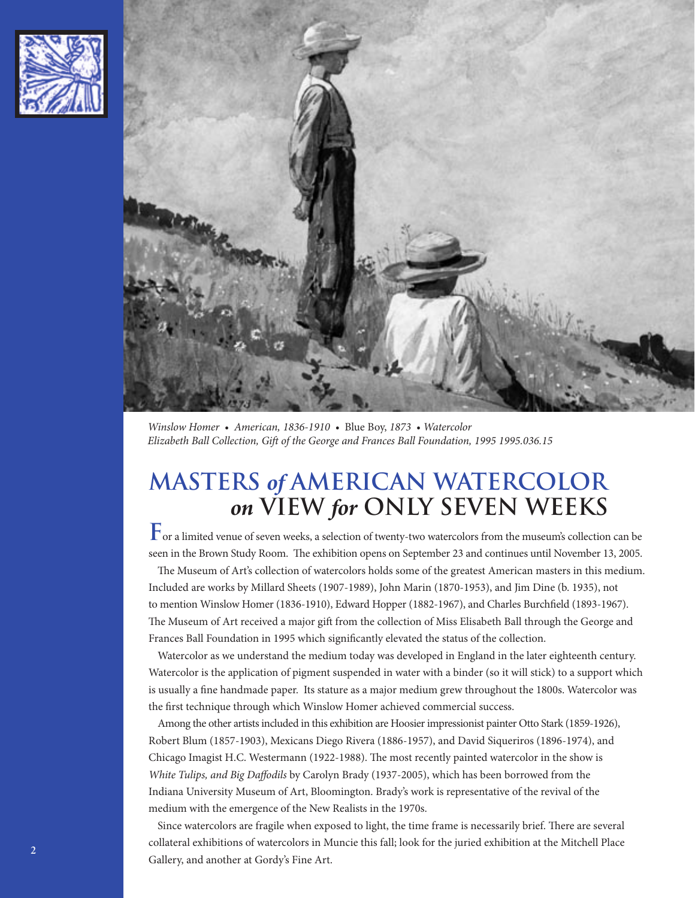



*Winslow Homer • American, 1836-1910 •* Blue Boy, *1873 • Watercolor Elizabeth Ball Collection, Gift of the George and Frances Ball Foundation, 1995 1995.036.15*

## **Masters** *of* **American Watercolor**   *on* **View** *for* **Only Seven Weeks**

**F**or a limited venue of seven weeks, a selection of twenty-two watercolors from the museum's collection can be seen in the Brown Study Room. The exhibition opens on September 23 and continues until November 13, 2005.

 The Museum of Art's collection of watercolors holds some of the greatest American masters in this medium. Included are works by Millard Sheets (1907-1989), John Marin (1870-1953), and Jim Dine (b. 1935), not to mention Winslow Homer (1836-1910), Edward Hopper (1882-1967), and Charles Burchfield (1893-1967). The Museum of Art received a major gift from the collection of Miss Elisabeth Ball through the George and Frances Ball Foundation in 1995 which significantly elevated the status of the collection.

 Watercolor as we understand the medium today was developed in England in the later eighteenth century. Watercolor is the application of pigment suspended in water with a binder (so it will stick) to a support which is usually a fine handmade paper. Its stature as a major medium grew throughout the 1800s. Watercolor was the first technique through which Winslow Homer achieved commercial success.

 Among the other artists included in this exhibition are Hoosier impressionist painter Otto Stark (1859-1926), Robert Blum (1857-1903), Mexicans Diego Rivera (1886-1957), and David Siqueriros (1896-1974), and Chicago Imagist H.C. Westermann (1922-1988). The most recently painted watercolor in the show is *White Tulips, and Big Daffodils* by Carolyn Brady (1937-2005), which has been borrowed from the Indiana University Museum of Art, Bloomington. Brady's work is representative of the revival of the medium with the emergence of the New Realists in the 1970s.

 Since watercolors are fragile when exposed to light, the time frame is necessarily brief. There are several collateral exhibitions of watercolors in Muncie this fall; look for the juried exhibition at the Mitchell Place Gallery, and another at Gordy's Fine Art.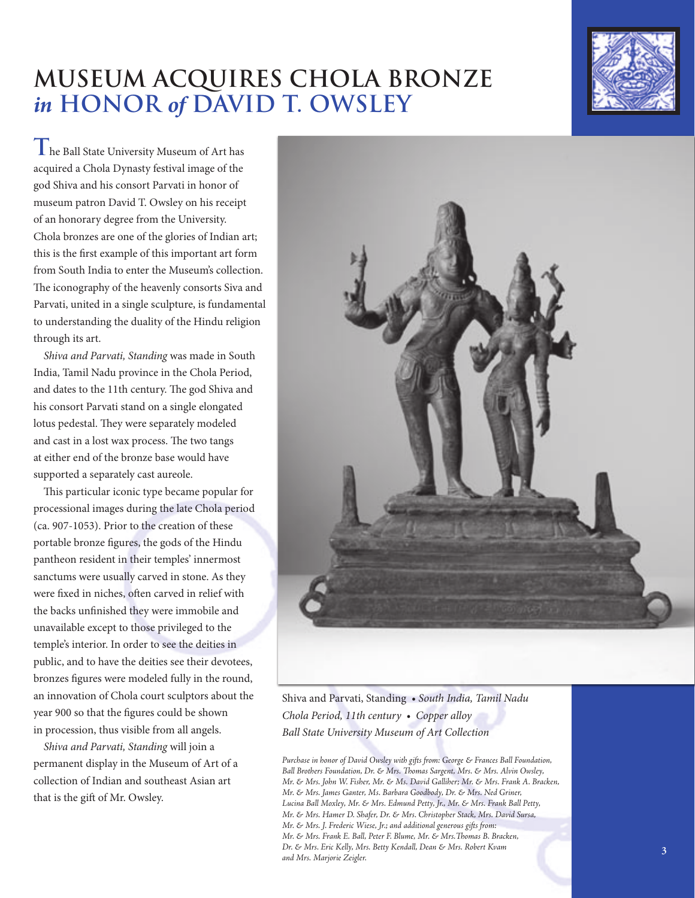## **Museum Acquires Chola Bronze**  *in* **Honor** *of* **David T. Owsley**



**T**he Ball State University Museum of Art has acquired a Chola Dynasty festival image of the god Shiva and his consort Parvati in honor of museum patron David T. Owsley on his receipt of an honorary degree from the University. Chola bronzes are one of the glories of Indian art; this is the first example of this important art form from South India to enter the Museum's collection. The iconography of the heavenly consorts Siva and Parvati, united in a single sculpture, is fundamental to understanding the duality of the Hindu religion through its art.

 *Shiva and Parvati, Standing* was made in South India, Tamil Nadu province in the Chola Period, and dates to the 11th century. The god Shiva and his consort Parvati stand on a single elongated lotus pedestal. They were separately modeled and cast in a lost wax process. The two tangs at either end of the bronze base would have supported a separately cast aureole.

 This particular iconic type became popular for processional images during the late Chola period (ca. 907-1053). Prior to the creation of these portable bronze figures, the gods of the Hindu pantheon resident in their temples' innermost sanctums were usually carved in stone. As they were fixed in niches, often carved in relief with the backs unfinished they were immobile and unavailable except to those privileged to the temple's interior. In order to see the deities in public, and to have the deities see their devotees, bronzes figures were modeled fully in the round, an innovation of Chola court sculptors about the year 900 so that the figures could be shown in procession, thus visible from all angels.

 *Shiva and Parvati, Standing* will join a permanent display in the Museum of Art of a collection of Indian and southeast Asian art that is the gift of Mr. Owsley.



Shiva and Parvati, Standing *• South India, Tamil Nadu Chola Period, 11th century • Copper alloy Ball State University Museum of Art Collection*

*Purchase in honor of David Owsley with gifts from: George & Frances Ball Foundation, Ball Brothers Foundation, Dr. & Mrs. Thomas Sargent, Mrs. & Mrs. Alvin Owsley, Mr. & Mrs. John W. Fisher, Mr. & Ms. David Galliher; Mr. & Mrs. Frank A. Bracken, Mr. & Mrs. James Ganter, Ms. Barbara Goodbody, Dr. & Mrs. Ned Griner, Lucina Ball Moxley, Mr. & Mrs. Edmund Petty, Jr., Mr. & Mrs. Frank Ball Petty, Mr. & Mrs. Hamer D. Shafer, Dr. & Mrs. Christopher Stack, Mrs. David Sursa, Mr. & Mrs. J. Frederic Wiese, Jr.; and additional generous gifts from: Mr. & Mrs. Frank E. Ball, Peter F. Blume, Mr. & Mrs.Thomas B. Bracken, Dr. & Mrs. Eric Kelly, Mrs. Betty Kendall, Dean & Mrs. Robert Kvam and Mrs. Marjorie Zeigler.*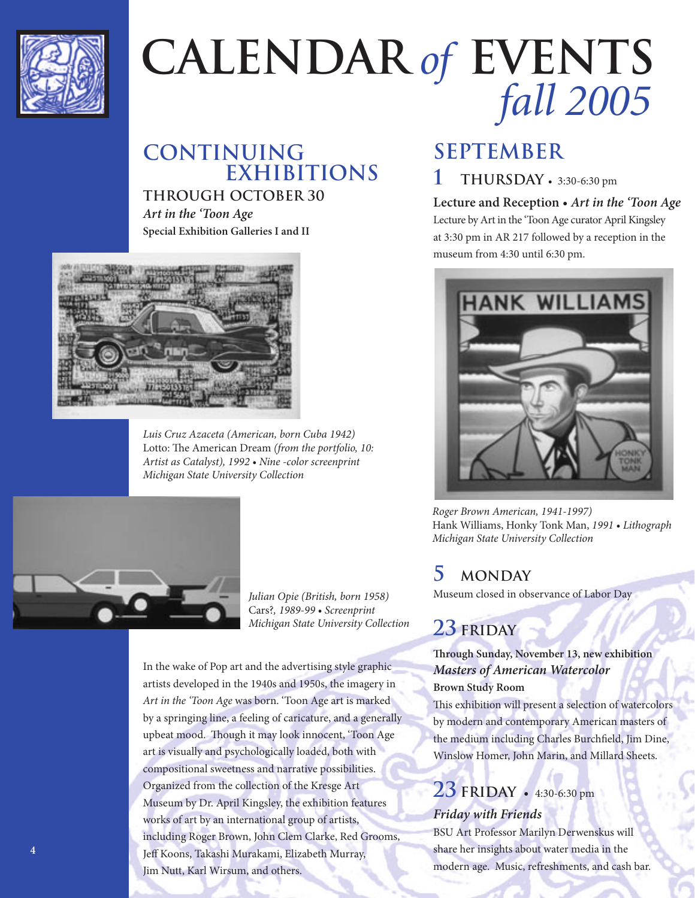

# **CALENDAR** *of* **EVENTS**  *fall 2005*

## **CONTINUING EXHIBITIONS**

**Through October 30** *Art in the 'Toon Age* **Special Exhibition Galleries I and II**



*Luis Cruz Azaceta (American, born Cuba 1942)* Lotto: The American Dream *(from the portfolio, 10: Artist as Catalyst), 1992 • Nine -color screenprint Michigan State University Collection*



*Julian Opie (British, born 1958)* Cars?*, 1989-99 • Screenprint Michigan State University Collection*

In the wake of Pop art and the advertising style graphic artists developed in the 1940s and 1950s, the imagery in *Art in the 'Toon Age* was born. 'Toon Age art is marked by a springing line, a feeling of caricature, and a generally upbeat mood. Though it may look innocent, 'Toon Age art is visually and psychologically loaded, both with compositional sweetness and narrative possibilities. Organized from the collection of the Kresge Art Museum by Dr. April Kingsley, the exhibition features works of art by an international group of artists, including Roger Brown, John Clem Clarke, Red Grooms, Jeff Koons, Takashi Murakami, Elizabeth Murray, Jim Nutt, Karl Wirsum, and others.

## **SEPTEMBER**

**1 Thursday** • 3:30-6:30 pm

**Lecture and Reception** • *Art in the 'Toon Age* Lecture by Art in the 'Toon Age curator April Kingsley at 3:30 pm in AR 217 followed by a reception in the museum from 4:30 until 6:30 pm.



*Roger Brown American, 1941-1997)* Hank Williams, Honky Tonk Man, *1991 • Lithograph Michigan State University Collection*

## **5 Monday**

Museum closed in observance of Labor Day

## **23 Friday**

**Through Sunday, November 13, new exhibition** *Masters of American Watercolor* **Brown Study Room**

This exhibition will present a selection of watercolors by modern and contemporary American masters of the medium including Charles Burchfield, Jim Dine, Winslow Homer, John Marin, and Millard Sheets.

**23 Friday** • 4:30-6:30 pm

#### *Friday with Friends*

BSU Art Professor Marilyn Derwenskus will share her insights about water media in the modern age. Music, refreshments, and cash bar.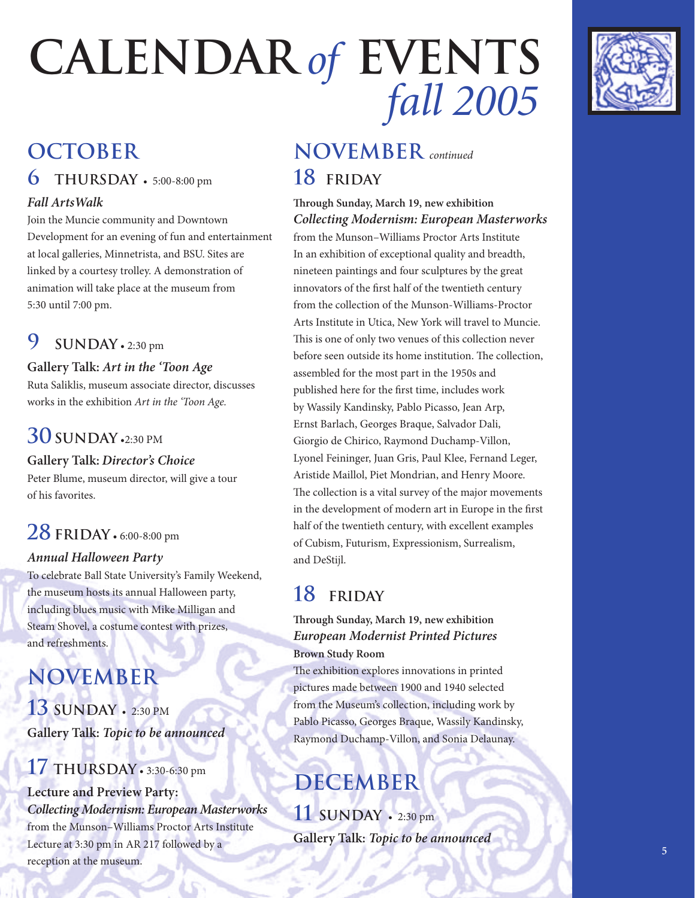# **CALENDAR** *of* **EVENTS** *fall 2005*

## **OCTOBER**

**6 Thursday** • 5:00-8:00 pm

#### *Fall ArtsWalk*

Join the Muncie community and Downtown Development for an evening of fun and entertainment at local galleries, Minnetrista, and BSU. Sites are linked by a courtesy trolley. A demonstration of animation will take place at the museum from 5:30 until 7:00 pm.

#### **9 Sunday** • 2:30 pm

#### **Gallery Talk:** *Art in the 'Toon Age*

Ruta Saliklis, museum associate director, discusses works in the exhibition *Art in the 'Toon Age.*

## **30 SUNDAY** •2:30 PM

**Gallery Talk:** *Director's Choice* Peter Blume, museum director, will give a tour of his favorites.

## **28Friday** • 6:00-8:00 pm

#### *Annual Halloween Party*

To celebrate Ball State University's Family Weekend, the museum hosts its annual Halloween party, including blues music with Mike Milligan and Steam Shovel, a costume contest with prizes, and refreshments.

## **NOVEMBER**

**13 Sunday** • 2:30 PM **Gallery Talk:** *Topic to be announced*

## **17 Thursday** • 3:30-6:30 pm

**Lecture and Preview Party:** *Collecting Modernism: European Masterworks*  from the Munson–Williams Proctor Arts Institute Lecture at 3:30 pm in AR 217 followed by a reception at the museum.

## **NOVEMBER** *continued* **18 Friday**

**Through Sunday, March 19, new exhibition** *Collecting Modernism: European Masterworks*  from the Munson–Williams Proctor Arts Institute In an exhibition of exceptional quality and breadth, nineteen paintings and four sculptures by the great innovators of the first half of the twentieth century from the collection of the Munson-Williams-Proctor Arts Institute in Utica, New York will travel to Muncie. This is one of only two venues of this collection never before seen outside its home institution. The collection, assembled for the most part in the 1950s and published here for the first time, includes work by Wassily Kandinsky, Pablo Picasso, Jean Arp, Ernst Barlach, Georges Braque, Salvador Dali, Giorgio de Chirico, Raymond Duchamp-Villon, Lyonel Feininger, Juan Gris, Paul Klee, Fernand Leger, Aristide Maillol, Piet Mondrian, and Henry Moore. The collection is a vital survey of the major movements in the development of modern art in Europe in the first half of the twentieth century, with excellent examples of Cubism, Futurism, Expressionism, Surrealism, and DeStijl.

### **18 Friday**

#### **Through Sunday, March 19, new exhibition** *European Modernist Printed Pictures* **Brown Study Room**

The exhibition explores innovations in printed pictures made between 1900 and 1940 selected from the Museum's collection, including work by Pablo Picasso, Georges Braque, Wassily Kandinsky, Raymond Duchamp-Villon, and Sonia Delaunay.

## **DECEMBER**

**11 Sunday** • 2:30 pm **Gallery Talk:** *Topic to be announced*



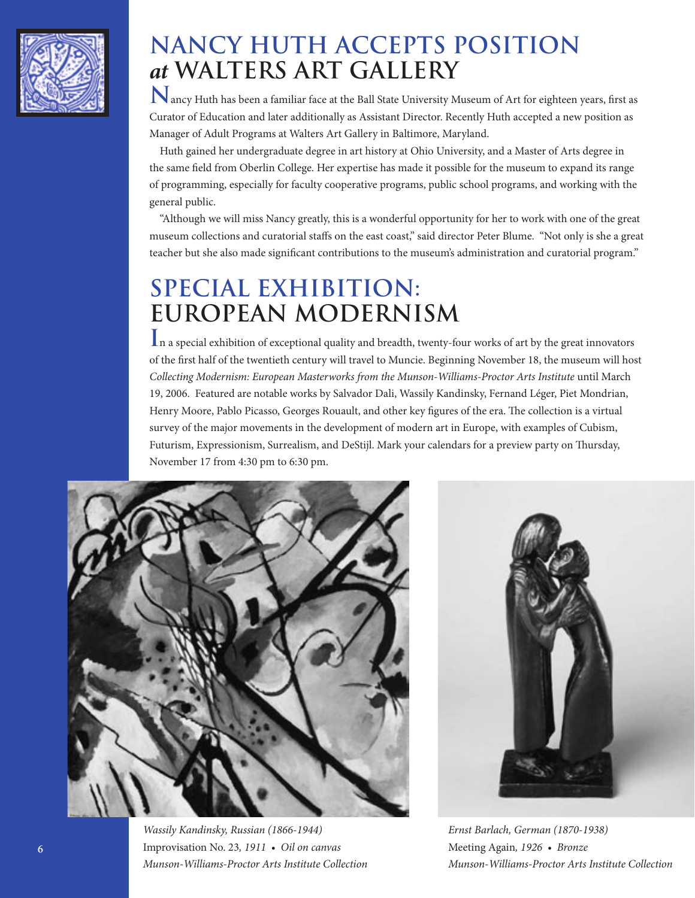

## **Nancy Huth Accepts Position**  *at* **Walters Art Gallery**

**N**ancy Huth has been a familiar face at the Ball State University Museum of Art for eighteen years, first as Curator of Education and later additionally as Assistant Director. Recently Huth accepted a new position as Manager of Adult Programs at Walters Art Gallery in Baltimore, Maryland.

 Huth gained her undergraduate degree in art history at Ohio University, and a Master of Arts degree in the same field from Oberlin College. Her expertise has made it possible for the museum to expand its range of programming, especially for faculty cooperative programs, public school programs, and working with the general public.

 "Although we will miss Nancy greatly, this is a wonderful opportunity for her to work with one of the great museum collections and curatorial staffs on the east coast," said director Peter Blume. "Not only is she a great teacher but she also made significant contributions to the museum's administration and curatorial program."

## **Special Exhibition: European Modernism**

**I**n a special exhibition of exceptional quality and breadth, twenty-four works of art by the great innovators of the first half of the twentieth century will travel to Muncie. Beginning November 18, the museum will host *Collecting Modernism: European Masterworks from the Munson-Williams-Proctor Arts Institute* until March 19, 2006. Featured are notable works by Salvador Dali, Wassily Kandinsky, Fernand Léger, Piet Mondrian, Henry Moore, Pablo Picasso, Georges Rouault, and other key figures of the era. The collection is a virtual survey of the major movements in the development of modern art in Europe, with examples of Cubism, Futurism, Expressionism, Surrealism, and DeStijl. Mark your calendars for a preview party on Thursday, November 17 from 4:30 pm to 6:30 pm.



*Wassily Kandinsky, Russian (1866-1944)* Improvisation No. 23*, 1911 • Oil on canvas Munson-Williams-Proctor Arts Institute Collection*



*Ernst Barlach, German (1870-1938)* Meeting Again*, 1926 • Bronze Munson-Williams-Proctor Arts Institute Collection*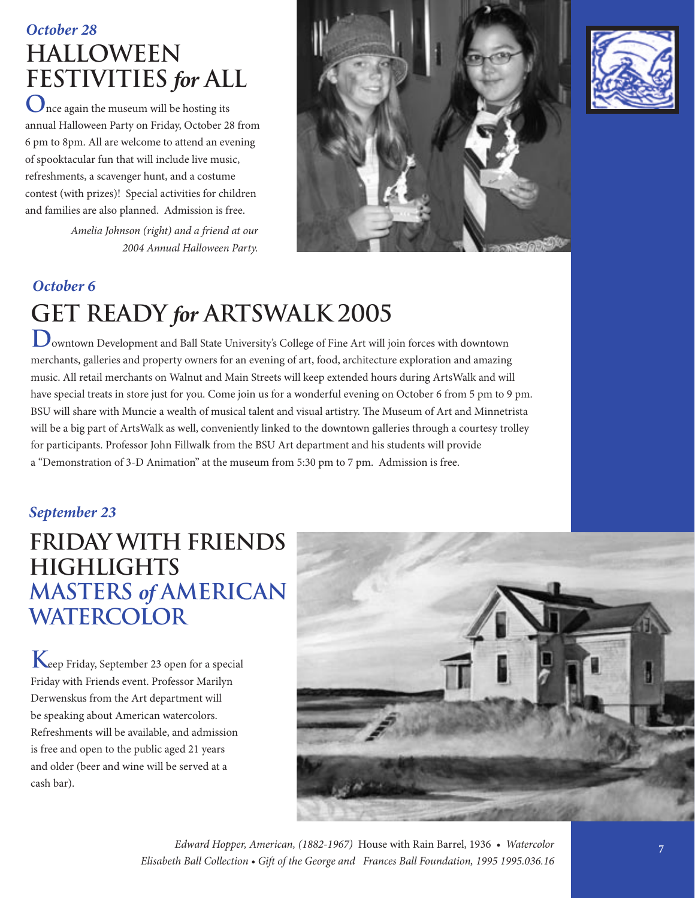## **Halloween Festivities** *for* **All** *October 28*

**O**nce again the museum will be hosting its annual Halloween Party on Friday, October 28 from 6 pm to 8pm. All are welcome to attend an evening of spooktacular fun that will include live music, refreshments, a scavenger hunt, and a costume contest (with prizes)! Special activities for children and families are also planned. Admission is free.

> *Amelia Johnson (right) and a friend at our 2004 Annual Halloween Party.*





## **Get Ready** *for* **ArtsWalk 2005**  *October 6*

**D**owntown Development and Ball State University's College of Fine Art will join forces with downtown merchants, galleries and property owners for an evening of art, food, architecture exploration and amazing music. All retail merchants on Walnut and Main Streets will keep extended hours during ArtsWalk and will have special treats in store just for you. Come join us for a wonderful evening on October 6 from 5 pm to 9 pm. BSU will share with Muncie a wealth of musical talent and visual artistry. The Museum of Art and Minnetrista will be a big part of ArtsWalk as well, conveniently linked to the downtown galleries through a courtesy trolley for participants. Professor John Fillwalk from the BSU Art department and his students will provide a "Demonstration of 3-D Animation" at the museum from 5:30 pm to 7 pm. Admission is free.

#### *September 23*

**Friday with Friends Highlights Masters** *of* **American WATERCOLOR** 

**K**eep Friday, September 23 open for a special Friday with Friends event. Professor Marilyn Derwenskus from the Art department will be speaking about American watercolors. Refreshments will be available, and admission is free and open to the public aged 21 years and older (beer and wine will be served at a cash bar).



*Edward Hopper, American, (1882-1967)* House with Rain Barrel, 1936 *• Watercolor Elisabeth Ball Collection • Gift of the George and Frances Ball Foundation, 1995 1995.036.16*